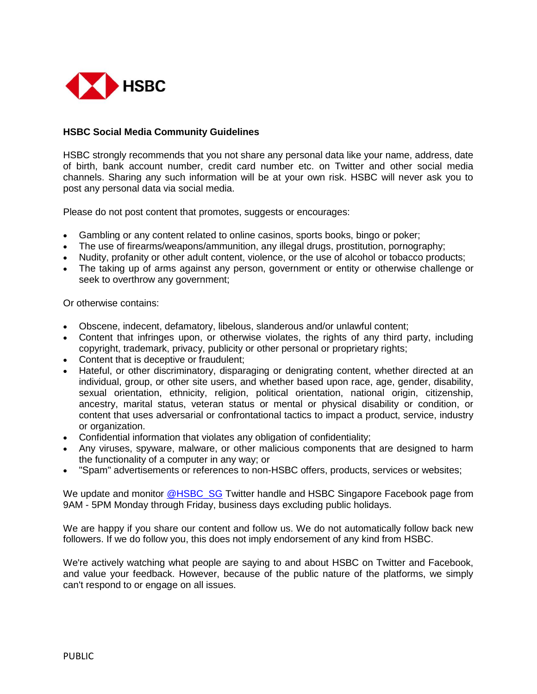

## **HSBC Social Media Community Guidelines**

HSBC strongly recommends that you not share any personal data like your name, address, date of birth, bank account number, credit card number etc. on Twitter and other social media channels. Sharing any such information will be at your own risk. HSBC will never ask you to post any personal data via social media.

Please do not post content that promotes, suggests or encourages:

- Gambling or any content related to online casinos, sports books, bingo or poker;
- The use of firearms/weapons/ammunition, any illegal drugs, prostitution, pornography;
- Nudity, profanity or other adult content, violence, or the use of alcohol or tobacco products;
- The taking up of arms against any person, government or entity or otherwise challenge or seek to overthrow any government;

Or otherwise contains:

- Obscene, indecent, defamatory, libelous, slanderous and/or unlawful content;
- Content that infringes upon, or otherwise violates, the rights of any third party, including copyright, trademark, privacy, publicity or other personal or proprietary rights;
- Content that is deceptive or fraudulent;
- Hateful, or other discriminatory, disparaging or denigrating content, whether directed at an individual, group, or other site users, and whether based upon race, age, gender, disability, sexual orientation, ethnicity, religion, political orientation, national origin, citizenship, ancestry, marital status, veteran status or mental or physical disability or condition, or content that uses adversarial or confrontational tactics to impact a product, service, industry or organization.
- Confidential information that violates any obligation of confidentiality;
- Any viruses, spyware, malware, or other malicious components that are designed to harm the functionality of a computer in any way; or
- "Spam" advertisements or references to non-HSBC offers, products, services or websites;

We update and monitor [@HSBC\\_SG](http://www.twitter.com/@HSBC_SG) Twitter handle and HSBC Singapore Facebook page from 9AM - 5PM Monday through Friday, business days excluding public holidays.

We are happy if you share our content and follow us. We do not automatically follow back new followers. If we do follow you, this does not imply endorsement of any kind from HSBC.

We're actively watching what people are saying to and about HSBC on Twitter and Facebook, and value your feedback. However, because of the public nature of the platforms, we simply can't respond to or engage on all issues.